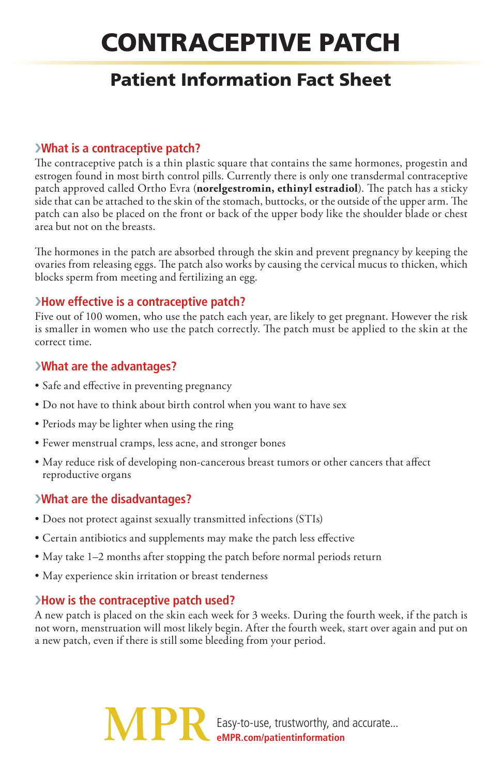# Contraceptive Patch

## Patient Information Fact Sheet

#### ›**What is a contraceptive patch?**

The contraceptive patch is a thin plastic square that contains the same hormones, progestin and estrogen found in most birth control pills. Currently there is only one transdermal contraceptive patch approved called Ortho Evra (**norelgestromin, ethinyl estradiol**). The patch has a sticky side that can be attached to the skin of the stomach, buttocks, or the outside of the upper arm. The patch can also be placed on the front or back of the upper body like the shoulder blade or chest area but not on the breasts.

The hormones in the patch are absorbed through the skin and prevent pregnancy by keeping the ovaries from releasing eggs. The patch also works by causing the cervical mucus to thicken, which blocks sperm from meeting and fertilizing an egg.

### ›**How effective is a contraceptive patch?**

Five out of 100 women, who use the patch each year, are likely to get pregnant. However the risk is smaller in women who use the patch correctly. The patch must be applied to the skin at the correct time.

#### ›**What are the advantages?**

- Safe and effective in preventing pregnancy
- Do not have to think about birth control when you want to have sex
- Periods may be lighter when using the ring
- Fewer menstrual cramps, less acne, and stronger bones
- May reduce risk of developing non-cancerous breast tumors or other cancers that affect reproductive organs

#### ›**What are the disadvantages?**

- Does not protect against sexually transmitted infections (STIs)
- Certain antibiotics and supplements may make the patch less effective
- May take 1–2 months after stopping the patch before normal periods return
- May experience skin irritation or breast tenderness

#### ›**How is the contraceptive patch used?**

A new patch is placed on the skin each week for 3 weeks. During the fourth week, if the patch is not worn, menstruation will most likely begin. After the fourth week, start over again and put on a new patch, even if there is still some bleeding from your period.

> Easy-to-use, trustworthy, and accurate... **eMPR.com/patientinformation**